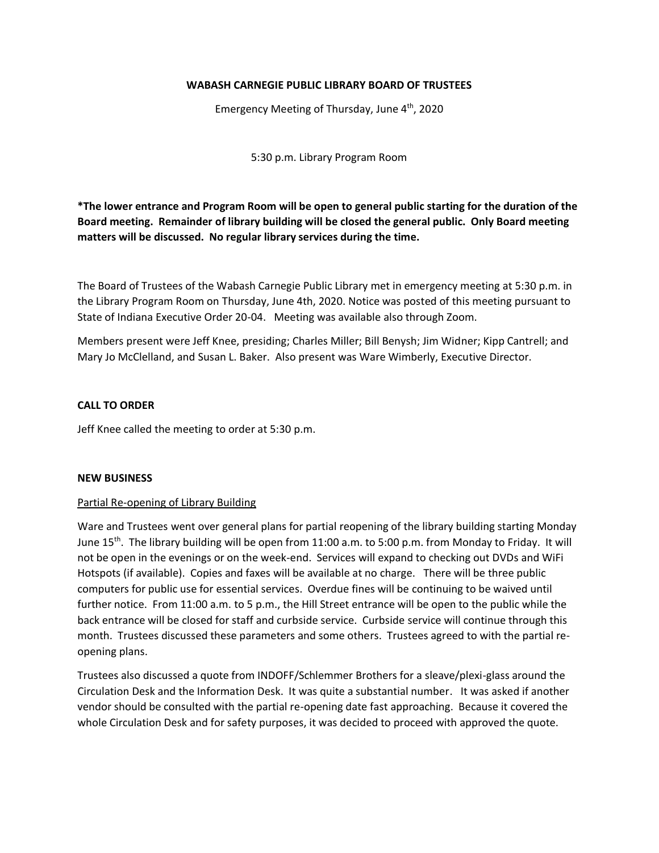# **WABASH CARNEGIE PUBLIC LIBRARY BOARD OF TRUSTEES**

Emergency Meeting of Thursday, June 4<sup>th</sup>, 2020

5:30 p.m. Library Program Room

**\*The lower entrance and Program Room will be open to general public starting for the duration of the Board meeting. Remainder of library building will be closed the general public. Only Board meeting matters will be discussed. No regular library services during the time.**

The Board of Trustees of the Wabash Carnegie Public Library met in emergency meeting at 5:30 p.m. in the Library Program Room on Thursday, June 4th, 2020. Notice was posted of this meeting pursuant to State of Indiana Executive Order 20-04. Meeting was available also through Zoom.

Members present were Jeff Knee, presiding; Charles Miller; Bill Benysh; Jim Widner; Kipp Cantrell; and Mary Jo McClelland, and Susan L. Baker. Also present was Ware Wimberly, Executive Director.

# **CALL TO ORDER**

Jeff Knee called the meeting to order at 5:30 p.m.

### **NEW BUSINESS**

### Partial Re-opening of Library Building

Ware and Trustees went over general plans for partial reopening of the library building starting Monday June 15<sup>th</sup>. The library building will be open from 11:00 a.m. to 5:00 p.m. from Monday to Friday. It will not be open in the evenings or on the week-end. Services will expand to checking out DVDs and WiFi Hotspots (if available). Copies and faxes will be available at no charge. There will be three public computers for public use for essential services. Overdue fines will be continuing to be waived until further notice. From 11:00 a.m. to 5 p.m., the Hill Street entrance will be open to the public while the back entrance will be closed for staff and curbside service. Curbside service will continue through this month. Trustees discussed these parameters and some others. Trustees agreed to with the partial reopening plans.

Trustees also discussed a quote from INDOFF/Schlemmer Brothers for a sleave/plexi-glass around the Circulation Desk and the Information Desk. It was quite a substantial number. It was asked if another vendor should be consulted with the partial re-opening date fast approaching. Because it covered the whole Circulation Desk and for safety purposes, it was decided to proceed with approved the quote.